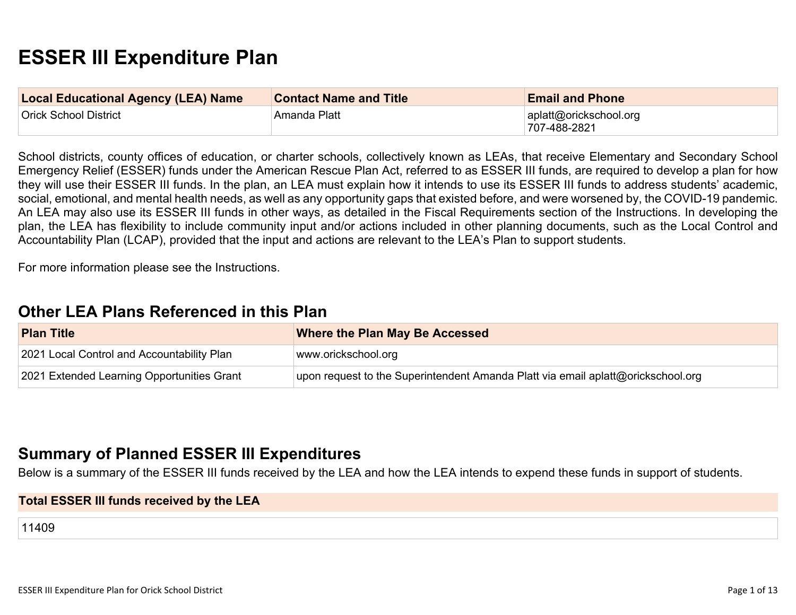# **ESSER III Expenditure Plan**

| <b>Local Educational Agency (LEA) Name</b> | <b>Contact Name and Title</b> | <b>Email and Phone</b>                 |
|--------------------------------------------|-------------------------------|----------------------------------------|
| Orick School District                      | Amanda Platt                  | aplatt@orickschool.org<br>707-488-2821 |

School districts, county offices of education, or charter schools, collectively known as LEAs, that receive Elementary and Secondary School Emergency Relief (ESSER) funds under the American Rescue Plan Act, referred to as ESSER III funds, are required to develop a plan for how they will use their ESSER III funds. In the plan, an LEA must explain how it intends to use its ESSER III funds to address students' academic, social, emotional, and mental health needs, as well as any opportunity gaps that existed before, and were worsened by, the COVID-19 pandemic. An LEA may also use its ESSER III funds in other ways, as detailed in the Fiscal Requirements section of the Instructions. In developing the plan, the LEA has flexibility to include community input and/or actions included in other planning documents, such as the Local Control and Accountability Plan (LCAP), provided that the input and actions are relevant to the LEA's Plan to support students.

For more information please see the Instructions.

## **[Other LEA Plans Referenced in this Plan](#page-7-0)**

| <b>Plan Title</b>                          | <b>Where the Plan May Be Accessed</b>                                            |
|--------------------------------------------|----------------------------------------------------------------------------------|
| 2021 Local Control and Accountability Plan | www.orickschool.org                                                              |
| 2021 Extended Learning Opportunities Grant | upon request to the Superintendent Amanda Platt via email aplatt@orickschool.org |

## **[Summary of Planned ESSER III Expenditures](#page-7-1)**

Below is a summary of the ESSER III funds received by the LEA and how the LEA intends to expend these funds in support of students.

#### **Total ESSER III funds received by the LEA**

11409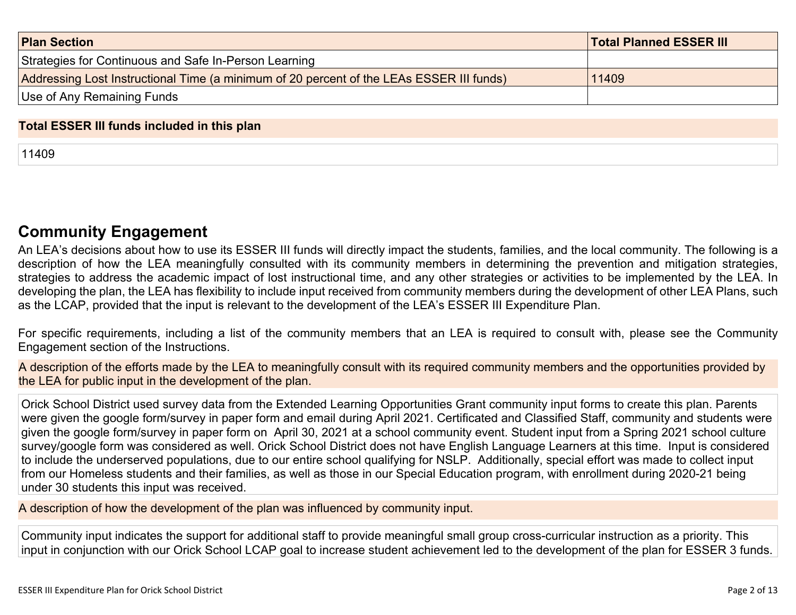| <b>Plan Section</b>                                                                      | <b>Total Planned ESSER III</b> |
|------------------------------------------------------------------------------------------|--------------------------------|
| Strategies for Continuous and Safe In-Person Learning                                    |                                |
| Addressing Lost Instructional Time (a minimum of 20 percent of the LEAs ESSER III funds) | 11409                          |
| Use of Any Remaining Funds                                                               |                                |

#### **Total ESSER III funds included in this plan**

11409

# **[Community Engagement](#page-8-0)**

An LEA's decisions about how to use its ESSER III funds will directly impact the students, families, and the local community. The following is a description of how the LEA meaningfully consulted with its community members in determining the prevention and mitigation strategies, strategies to address the academic impact of lost instructional time, and any other strategies or activities to be implemented by the LEA. In developing the plan, the LEA has flexibility to include input received from community members during the development of other LEA Plans, such as the LCAP, provided that the input is relevant to the development of the LEA's ESSER III Expenditure Plan.

For specific requirements, including a list of the community members that an LEA is required to consult with, please see the Community Engagement section of the Instructions.

A description of the efforts made by the LEA to meaningfully consult with its required community members and the opportunities provided by the LEA for public input in the development of the plan.

Orick School District used survey data from the Extended Learning Opportunities Grant community input forms to create this plan. Parents were given the google form/survey in paper form and email during April 2021. Certificated and Classified Staff, community and students were given the google form/survey in paper form on April 30, 2021 at a school community event. Student input from a Spring 2021 school culture survey/google form was considered as well. Orick School District does not have English Language Learners at this time. Input is considered to include the underserved populations, due to our entire school qualifying for NSLP. Additionally, special effort was made to collect input from our Homeless students and their families, as well as those in our Special Education program, with enrollment during 2020-21 being under 30 students this input was received.

A description of how the development of the plan was influenced by community input.

Community input indicates the support for additional staff to provide meaningful small group cross-curricular instruction as a priority. This input in conjunction with our Orick School LCAP goal to increase student achievement led to the development of the plan for ESSER 3 funds.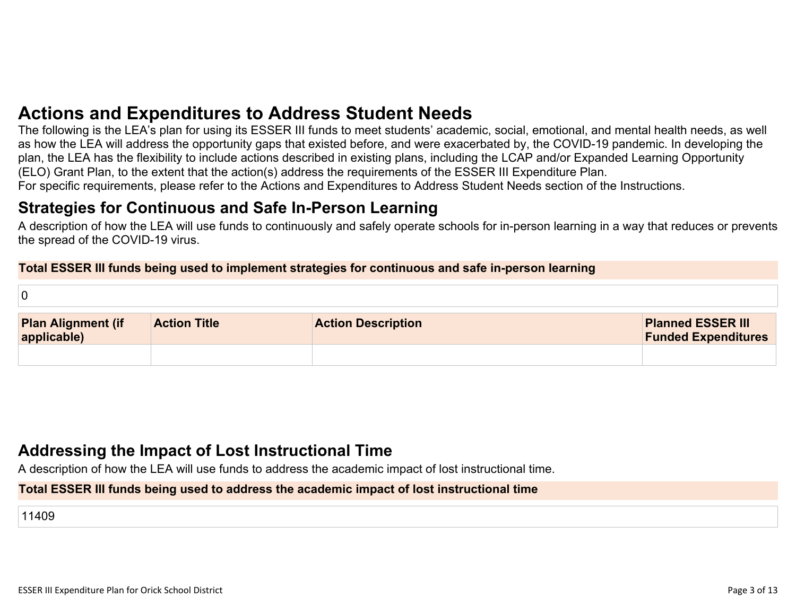# **[Actions and Expenditures to Address Student Needs](#page-10-0)**

The following is the LEA's plan for using its ESSER III funds to meet students' academic, social, emotional, and mental health needs, as well as how the LEA will address the opportunity gaps that existed before, and were exacerbated by, the COVID-19 pandemic. In developing the plan, the LEA has the flexibility to include actions described in existing plans, including the LCAP and/or Expanded Learning Opportunity (ELO) Grant Plan, to the extent that the action(s) address the requirements of the ESSER III Expenditure Plan. For specific requirements, please refer to the Actions and Expenditures to Address Student Needs section of the Instructions.

## **[Strategies for Continuous and Safe In-Person Learning](#page-10-1)**

A description of how the LEA will use funds to continuously and safely operate schools for in-person learning in a way that reduces or prevents the spread of the COVID-19 virus.

#### **Total ESSER III funds being used to implement strategies for continuous and safe in-person learning**

| 0                                     |                     |                           |                                                        |
|---------------------------------------|---------------------|---------------------------|--------------------------------------------------------|
| <b>Plan Alignment (if applicable)</b> | <b>Action Title</b> | <b>Action Description</b> | <b>Planned ESSER III</b><br><b>Funded Expenditures</b> |
|                                       |                     |                           |                                                        |

# **[Addressing the Impact of Lost Instructional Time](#page-11-0)**

A description of how the LEA will use funds to address the academic impact of lost instructional time.

#### **Total ESSER III funds being used to address the academic impact of lost instructional time**

11409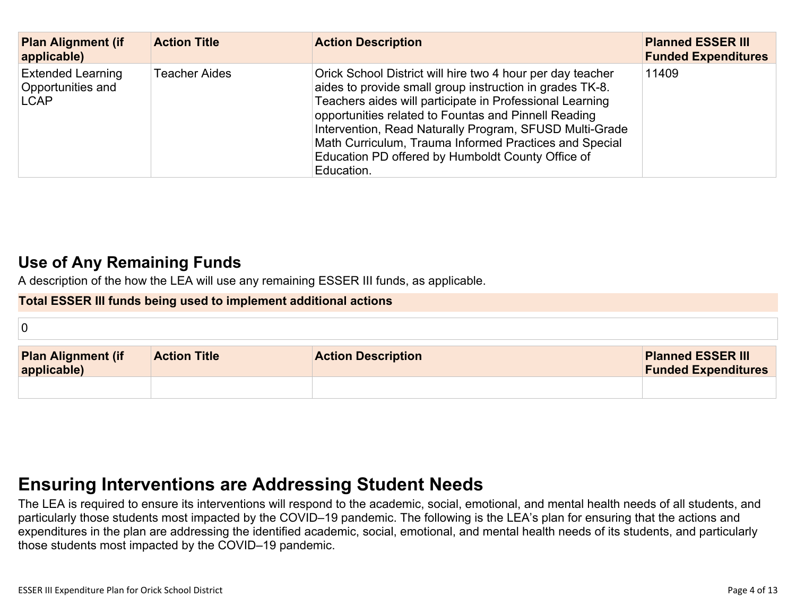| <b>Plan Alignment (if</b><br>applicable)                     | <b>Action Title</b>  | <b>Action Description</b>                                                                                                                                                                                                                                                                                                                                                                                                          | <b>Planned ESSER III</b><br><b>Funded Expenditures</b> |
|--------------------------------------------------------------|----------------------|------------------------------------------------------------------------------------------------------------------------------------------------------------------------------------------------------------------------------------------------------------------------------------------------------------------------------------------------------------------------------------------------------------------------------------|--------------------------------------------------------|
| <b>Extended Learning</b><br>Opportunities and<br><b>LCAP</b> | <b>Teacher Aides</b> | Orick School District will hire two 4 hour per day teacher<br>aides to provide small group instruction in grades TK-8.<br>Teachers aides will participate in Professional Learning<br>opportunities related to Fountas and Pinnell Reading<br>Intervention, Read Naturally Program, SFUSD Multi-Grade<br>Math Curriculum, Trauma Informed Practices and Special<br>Education PD offered by Humboldt County Office of<br>Education. | 11409                                                  |

# **[Use of Any Remaining Funds](#page-11-1)**

A description of the how the LEA will use any remaining ESSER III funds, as applicable.

#### **Total ESSER III funds being used to implement additional actions**

| <b>Plan Alignment (if</b><br>applicable) | <b>Action Title</b> | <b>Action Description</b> | <b>Planned ESSER III</b><br><b>Funded Expenditures</b> |
|------------------------------------------|---------------------|---------------------------|--------------------------------------------------------|
|                                          |                     |                           |                                                        |

# **[Ensuring Interventions are Addressing Student Needs](#page-11-2)**

The LEA is required to ensure its interventions will respond to the academic, social, emotional, and mental health needs of all students, and particularly those students most impacted by the COVID–19 pandemic. The following is the LEA's plan for ensuring that the actions and expenditures in the plan are addressing the identified academic, social, emotional, and mental health needs of its students, and particularly those students most impacted by the COVID–19 pandemic.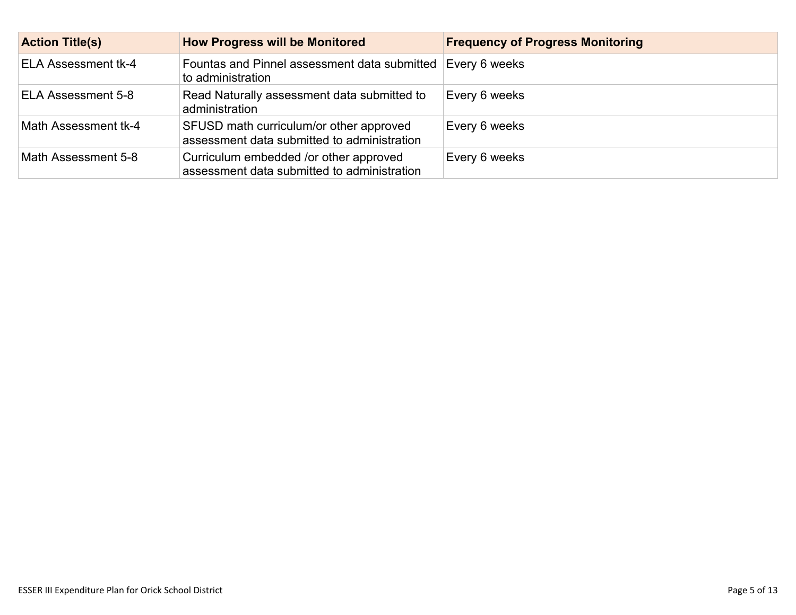| <b>Action Title(s)</b>     | <b>How Progress will be Monitored</b>                                                  | <b>Frequency of Progress Monitoring</b> |
|----------------------------|----------------------------------------------------------------------------------------|-----------------------------------------|
| <b>ELA Assessment tk-4</b> | Fountas and Pinnel assessment data submitted<br>to administration                      | Every 6 weeks                           |
| ELA Assessment 5-8         | Read Naturally assessment data submitted to<br>administration                          | Every 6 weeks                           |
| Math Assessment tk-4       | SFUSD math curriculum/or other approved<br>assessment data submitted to administration | Every 6 weeks                           |
| Math Assessment 5-8        | Curriculum embedded /or other approved<br>assessment data submitted to administration  | Every 6 weeks                           |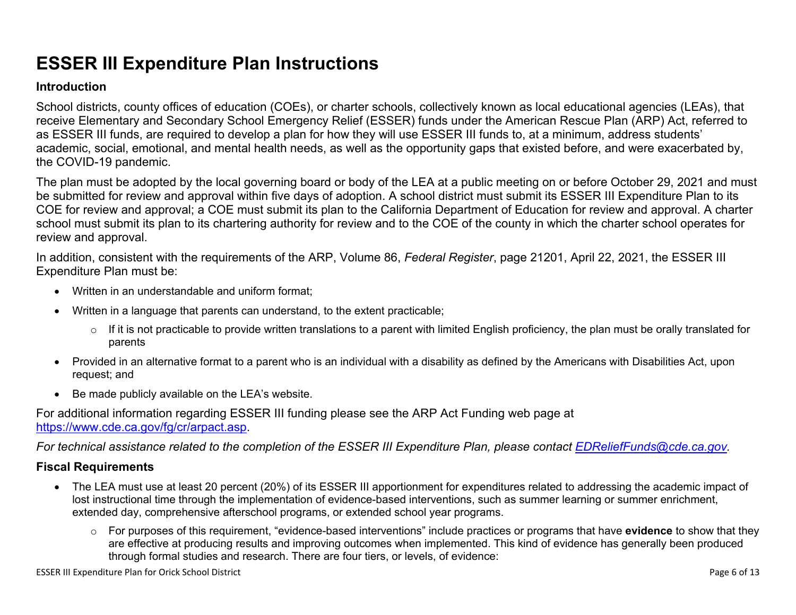# **ESSER III Expenditure Plan Instructions**

#### **Introduction**

School districts, county offices of education (COEs), or charter schools, collectively known as local educational agencies (LEAs), that receive Elementary and Secondary School Emergency Relief (ESSER) funds under the American Rescue Plan (ARP) Act, referred to as ESSER III funds, are required to develop a plan for how they will use ESSER III funds to, at a minimum, address students' academic, social, emotional, and mental health needs, as well as the opportunity gaps that existed before, and were exacerbated by, the COVID-19 pandemic.

The plan must be adopted by the local governing board or body of the LEA at a public meeting on or before October 29, 2021 and must be submitted for review and approval within five days of adoption. A school district must submit its ESSER III Expenditure Plan to its COE for review and approval; a COE must submit its plan to the California Department of Education for review and approval. A charter school must submit its plan to its chartering authority for review and to the COE of the county in which the charter school operates for review and approval.

In addition, consistent with the requirements of the ARP, Volume 86, *Federal Register*, page 21201, April 22, 2021, the ESSER III Expenditure Plan must be:

- Written in an understandable and uniform format;
- Written in a language that parents can understand, to the extent practicable;
	- $\circ$  If it is not practicable to provide written translations to a parent with limited English proficiency, the plan must be orally translated for parents
- Provided in an alternative format to a parent who is an individual with a disability as defined by the Americans with Disabilities Act, upon request; and
- Be made publicly available on the LEA's website.

For additional information regarding ESSER III funding please see the ARP Act Funding web page at <https://www.cde.ca.gov/fg/cr/arpact.asp>.

*For technical assistance related to the completion of the ESSER III Expenditure Plan, please contact [EDReliefFunds@cde.ca.gov](mailto:EDReliefFunds@cde.ca.gov).* 

## **Fiscal Requirements**

- The LEA must use at least 20 percent (20%) of its ESSER III apportionment for expenditures related to addressing the academic impact of lost instructional time through the implementation of evidence-based interventions, such as summer learning or summer enrichment, extended day, comprehensive afterschool programs, or extended school year programs.
	- o For purposes of this requirement, "evidence-based interventions" include practices or programs that have **evidence** to show that they are effective at producing results and improving outcomes when implemented. This kind of evidence has generally been produced through formal studies and research. There are four tiers, or levels, of evidence: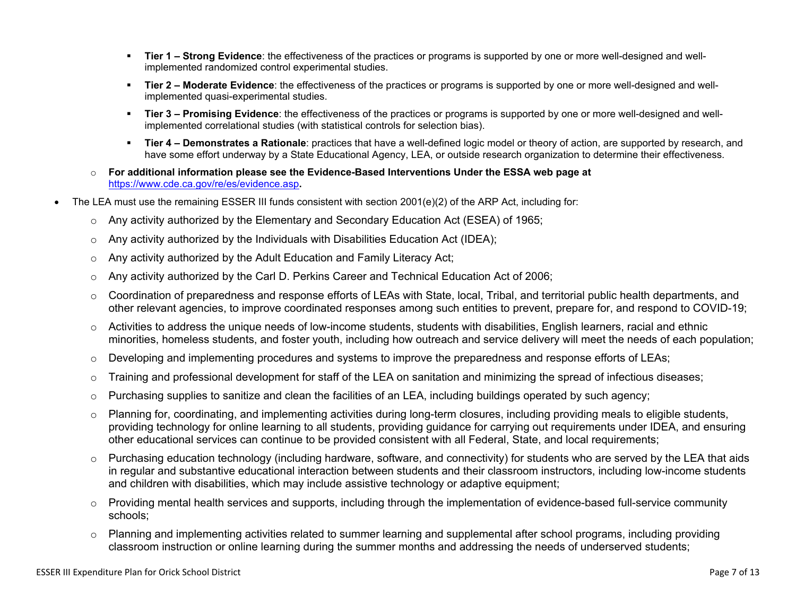- **Tier 1 Strong Evidence**: the effectiveness of the practices or programs is supported by one or more well-designed and wellimplemented randomized control experimental studies.
- **Tier 2 Moderate Evidence**: the effectiveness of the practices or programs is supported by one or more well-designed and wellimplemented quasi-experimental studies.
- Tier 3 Promising Evidence: the effectiveness of the practices or programs is supported by one or more well-designed and wellimplemented correlational studies (with statistical controls for selection bias).
- **EXTIET 4 Demonstrates a Rationale**: practices that have a well-defined logic model or theory of action, are supported by research, and have some effort underway by a State Educational Agency, LEA, or outside research organization to determine their effectiveness.
- o **For additional information please see the Evidence-Based Interventions Under the ESSA web page at**  <https://www.cde.ca.gov/re/es/evidence.asp>**.**
- The LEA must use the remaining ESSER III funds consistent with section 2001(e)(2) of the ARP Act, including for:
	- $\circ$  Any activity authorized by the Elementary and Secondary Education Act (ESEA) of 1965;
	- $\circ$  Any activity authorized by the Individuals with Disabilities Education Act (IDEA);
	- o Any activity authorized by the Adult Education and Family Literacy Act;
	- $\circ$  Any activity authorized by the Carl D. Perkins Career and Technical Education Act of 2006;
	- $\circ$  Coordination of preparedness and response efforts of LEAs with State, local, Tribal, and territorial public health departments, and other relevant agencies, to improve coordinated responses among such entities to prevent, prepare for, and respond to COVID-19;
	- $\circ$  Activities to address the unique needs of low-income students, students with disabilities, English learners, racial and ethnic minorities, homeless students, and foster youth, including how outreach and service delivery will meet the needs of each population;
	- o Developing and implementing procedures and systems to improve the preparedness and response efforts of LEAs;
	- $\circ$  Training and professional development for staff of the LEA on sanitation and minimizing the spread of infectious diseases;
	- $\circ$  Purchasing supplies to sanitize and clean the facilities of an LEA, including buildings operated by such agency;
	- $\circ$  Planning for, coordinating, and implementing activities during long-term closures, including providing meals to eligible students, providing technology for online learning to all students, providing guidance for carrying out requirements under IDEA, and ensuring other educational services can continue to be provided consistent with all Federal, State, and local requirements;
	- $\circ$  Purchasing education technology (including hardware, software, and connectivity) for students who are served by the LEA that aids in regular and substantive educational interaction between students and their classroom instructors, including low-income students and children with disabilities, which may include assistive technology or adaptive equipment;
	- $\circ$  Providing mental health services and supports, including through the implementation of evidence-based full-service community schools;
	- o Planning and implementing activities related to summer learning and supplemental after school programs, including providing classroom instruction or online learning during the summer months and addressing the needs of underserved students;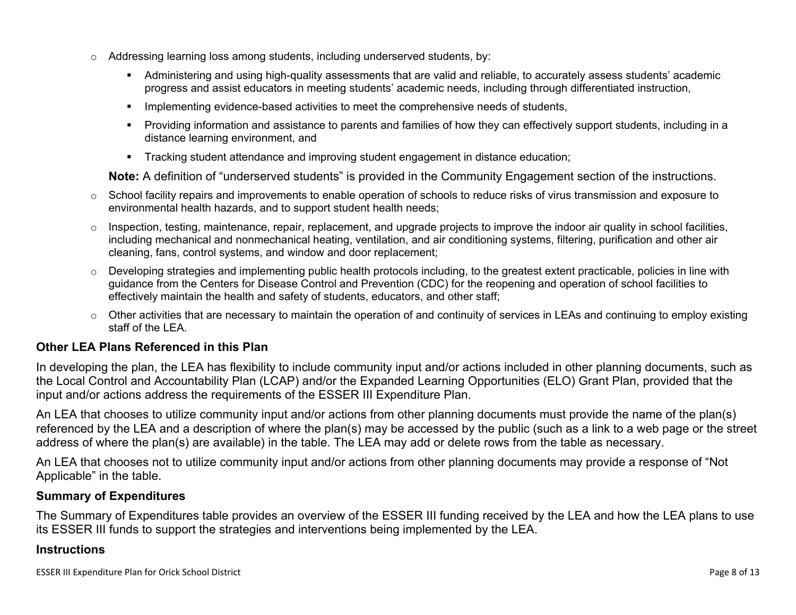- $\circ$  Addressing learning loss among students, including underserved students, by:
	- Administering and using high-quality assessments that are valid and reliable, to accurately assess students' academic progress and assist educators in meeting students' academic needs, including through differentiated instruction,
	- **•** Implementing evidence-based activities to meet the comprehensive needs of students,
	- Providing information and assistance to parents and families of how they can effectively support students, including in a distance learning environment, and
	- Tracking student attendance and improving student engagement in distance education;

**Note:** A definition of "underserved students" is provided in the Community Engagement section of the instructions.

- $\circ$  School facility repairs and improvements to enable operation of schools to reduce risks of virus transmission and exposure to environmental health hazards, and to support student health needs;
- $\circ$  Inspection, testing, maintenance, repair, replacement, and upgrade projects to improve the indoor air quality in school facilities, including mechanical and nonmechanical heating, ventilation, and air conditioning systems, filtering, purification and other air cleaning, fans, control systems, and window and door replacement;
- $\circ$  Developing strategies and implementing public health protocols including, to the greatest extent practicable, policies in line with guidance from the Centers for Disease Control and Prevention (CDC) for the reopening and operation of school facilities to effectively maintain the health and safety of students, educators, and other staff;
- $\circ$  Other activities that are necessary to maintain the operation of and continuity of services in LEAs and continuing to employ existing staff of the LEA.

## <span id="page-7-0"></span>**Other LEA Plans Referenced in this Plan**

In developing the plan, the LEA has flexibility to include community input and/or actions included in other planning documents, such as the Local Control and Accountability Plan (LCAP) and/or the Expanded Learning Opportunities (ELO) Grant Plan, provided that the input and/or actions address the requirements of the ESSER III Expenditure Plan.

An LEA that chooses to utilize community input and/or actions from other planning documents must provide the name of the plan(s) referenced by the LEA and a description of where the plan(s) may be accessed by the public (such as a link to a web page or the street address of where the plan(s) are available) in the table. The LEA may add or delete rows from the table as necessary.

An LEA that chooses not to utilize community input and/or actions from other planning documents may provide a response of "Not Applicable" in the table.

#### <span id="page-7-1"></span>**Summary of Expenditures**

The Summary of Expenditures table provides an overview of the ESSER III funding received by the LEA and how the LEA plans to use its ESSER III funds to support the strategies and interventions being implemented by the LEA.

#### **Instructions**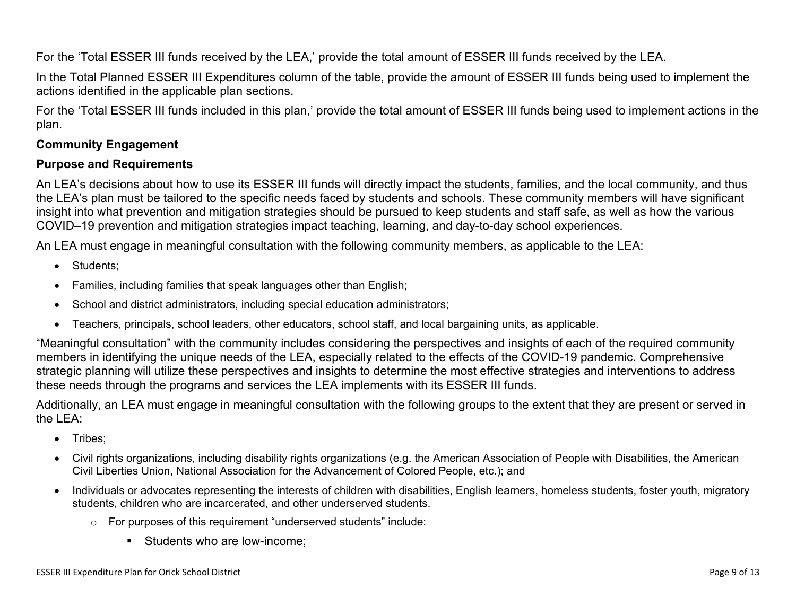For the 'Total ESSER III funds received by the LEA,' provide the total amount of ESSER III funds received by the LEA.

In the Total Planned ESSER III Expenditures column of the table, provide the amount of ESSER III funds being used to implement the actions identified in the applicable plan sections.

For the 'Total ESSER III funds included in this plan,' provide the total amount of ESSER III funds being used to implement actions in the plan.

## <span id="page-8-0"></span>**Community Engagement**

#### **Purpose and Requirements**

An LEA's decisions about how to use its ESSER III funds will directly impact the students, families, and the local community, and thus the LEA's plan must be tailored to the specific needs faced by students and schools. These community members will have significant insight into what prevention and mitigation strategies should be pursued to keep students and staff safe, as well as how the various COVID–19 prevention and mitigation strategies impact teaching, learning, and day-to-day school experiences.

An LEA must engage in meaningful consultation with the following community members, as applicable to the LEA:

- Students:
- Families, including families that speak languages other than English;
- School and district administrators, including special education administrators;
- Teachers, principals, school leaders, other educators, school staff, and local bargaining units, as applicable.

"Meaningful consultation" with the community includes considering the perspectives and insights of each of the required community members in identifying the unique needs of the LEA, especially related to the effects of the COVID-19 pandemic. Comprehensive strategic planning will utilize these perspectives and insights to determine the most effective strategies and interventions to address these needs through the programs and services the LEA implements with its ESSER III funds.

Additionally, an LEA must engage in meaningful consultation with the following groups to the extent that they are present or served in the LEA:

- Tribes:
- Civil rights organizations, including disability rights organizations (e.g. the American Association of People with Disabilities, the American Civil Liberties Union, National Association for the Advancement of Colored People, etc.); and
- Individuals or advocates representing the interests of children with disabilities, English learners, homeless students, foster youth, migratory students, children who are incarcerated, and other underserved students.
	- o For purposes of this requirement "underserved students" include:
		- Students who are low-income: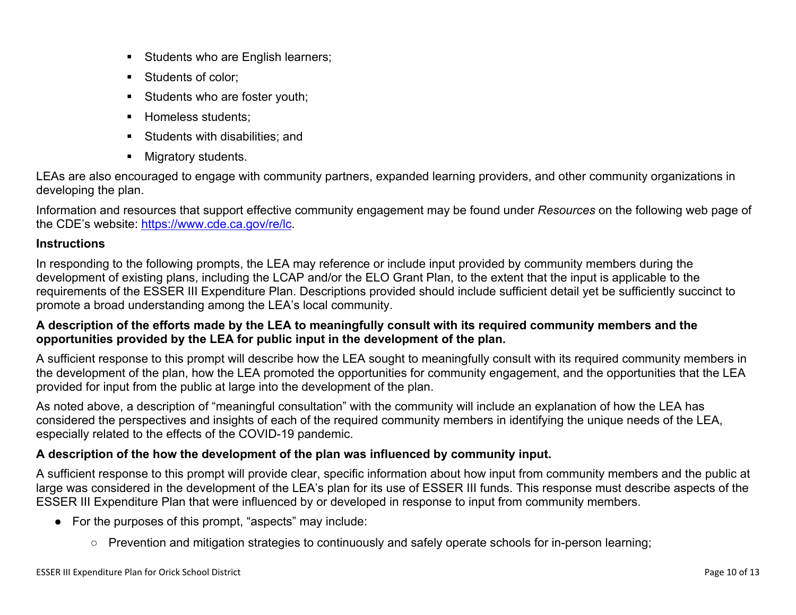- **EXEC** Students who are English learners;
- Students of color:
- **EXECUTE:** Students who are foster youth;
- **E** Homeless students;
- Students with disabilities: and
- Migratory students.

LEAs are also encouraged to engage with community partners, expanded learning providers, and other community organizations in developing the plan.

Information and resources that support effective community engagement may be found under *Resources* on the following web page of the CDE's website: <https://www.cde.ca.gov/re/lc>.

## **Instructions**

In responding to the following prompts, the LEA may reference or include input provided by community members during the development of existing plans, including the LCAP and/or the ELO Grant Plan, to the extent that the input is applicable to the requirements of the ESSER III Expenditure Plan. Descriptions provided should include sufficient detail yet be sufficiently succinct to promote a broad understanding among the LEA's local community.

## **A description of the efforts made by the LEA to meaningfully consult with its required community members and the opportunities provided by the LEA for public input in the development of the plan.**

A sufficient response to this prompt will describe how the LEA sought to meaningfully consult with its required community members in the development of the plan, how the LEA promoted the opportunities for community engagement, and the opportunities that the LEA provided for input from the public at large into the development of the plan.

As noted above, a description of "meaningful consultation" with the community will include an explanation of how the LEA has considered the perspectives and insights of each of the required community members in identifying the unique needs of the LEA, especially related to the effects of the COVID-19 pandemic.

## **A description of the how the development of the plan was influenced by community input.**

A sufficient response to this prompt will provide clear, specific information about how input from community members and the public at large was considered in the development of the LEA's plan for its use of ESSER III funds. This response must describe aspects of the ESSER III Expenditure Plan that were influenced by or developed in response to input from community members.

- For the purposes of this prompt, "aspects" may include:
	- Prevention and mitigation strategies to continuously and safely operate schools for in-person learning;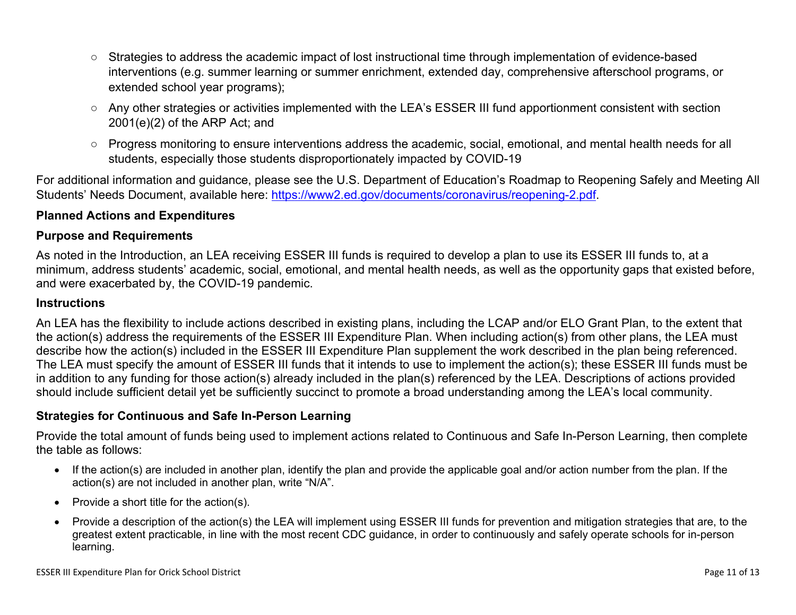- Strategies to address the academic impact of lost instructional time through implementation of evidence-based interventions (e.g. summer learning or summer enrichment, extended day, comprehensive afterschool programs, or extended school year programs);
- Any other strategies or activities implemented with the LEA's ESSER III fund apportionment consistent with section 2001(e)(2) of the ARP Act; and
- Progress monitoring to ensure interventions address the academic, social, emotional, and mental health needs for all students, especially those students disproportionately impacted by COVID-19

For additional information and guidance, please see the U.S. Department of Education's Roadmap to Reopening Safely and Meeting All Students' Needs Document, available here: [https://www2.ed.gov/documents/coronavirus/reopening-2.pdf.](https://www2.ed.gov/documents/coronavirus/reopening-2.pdf)

## <span id="page-10-0"></span>**Planned Actions and Expenditures**

#### **Purpose and Requirements**

As noted in the Introduction, an LEA receiving ESSER III funds is required to develop a plan to use its ESSER III funds to, at a minimum, address students' academic, social, emotional, and mental health needs, as well as the opportunity gaps that existed before, and were exacerbated by, the COVID-19 pandemic.

#### **Instructions**

An LEA has the flexibility to include actions described in existing plans, including the LCAP and/or ELO Grant Plan, to the extent that the action(s) address the requirements of the ESSER III Expenditure Plan. When including action(s) from other plans, the LEA must describe how the action(s) included in the ESSER III Expenditure Plan supplement the work described in the plan being referenced. The LEA must specify the amount of ESSER III funds that it intends to use to implement the action(s); these ESSER III funds must be in addition to any funding for those action(s) already included in the plan(s) referenced by the LEA. Descriptions of actions provided should include sufficient detail yet be sufficiently succinct to promote a broad understanding among the LEA's local community.

#### <span id="page-10-1"></span>**Strategies for Continuous and Safe In-Person Learning**

Provide the total amount of funds being used to implement actions related to Continuous and Safe In-Person Learning, then complete the table as follows:

- If the action(s) are included in another plan, identify the plan and provide the applicable goal and/or action number from the plan. If the action(s) are not included in another plan, write "N/A".
- Provide a short title for the action(s).
- Provide a description of the action(s) the LEA will implement using ESSER III funds for prevention and mitigation strategies that are, to the greatest extent practicable, in line with the most recent CDC guidance, in order to continuously and safely operate schools for in-person learning.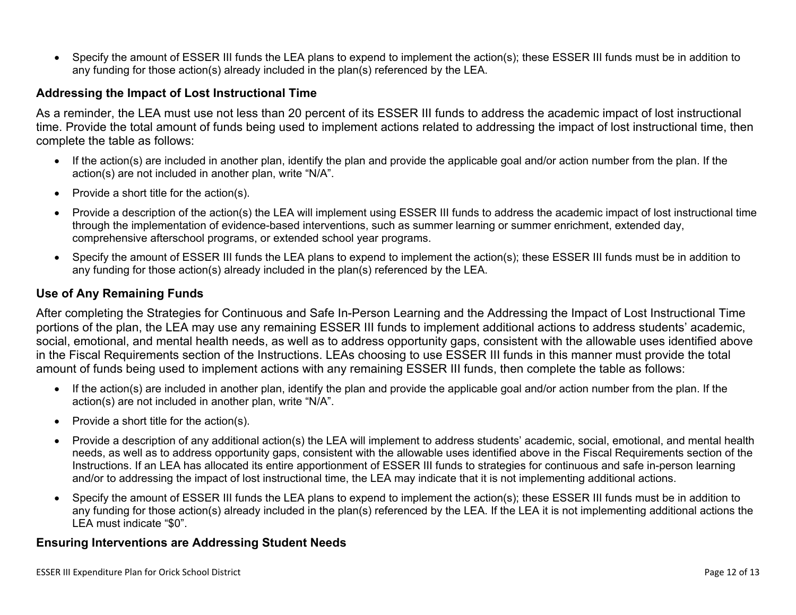• Specify the amount of ESSER III funds the LEA plans to expend to implement the action(s); these ESSER III funds must be in addition to any funding for those action(s) already included in the plan(s) referenced by the LEA.

#### <span id="page-11-0"></span>**Addressing the Impact of Lost Instructional Time**

As a reminder, the LEA must use not less than 20 percent of its ESSER III funds to address the academic impact of lost instructional time. Provide the total amount of funds being used to implement actions related to addressing the impact of lost instructional time, then complete the table as follows:

- If the action(s) are included in another plan, identify the plan and provide the applicable goal and/or action number from the plan. If the action(s) are not included in another plan, write "N/A".
- Provide a short title for the action(s).
- Provide a description of the action(s) the LEA will implement using ESSER III funds to address the academic impact of lost instructional time through the implementation of evidence-based interventions, such as summer learning or summer enrichment, extended day, comprehensive afterschool programs, or extended school year programs.
- Specify the amount of ESSER III funds the LEA plans to expend to implement the action(s); these ESSER III funds must be in addition to any funding for those action(s) already included in the plan(s) referenced by the LEA.

#### <span id="page-11-1"></span>**Use of Any Remaining Funds**

After completing the Strategies for Continuous and Safe In-Person Learning and the Addressing the Impact of Lost Instructional Time portions of the plan, the LEA may use any remaining ESSER III funds to implement additional actions to address students' academic, social, emotional, and mental health needs, as well as to address opportunity gaps, consistent with the allowable uses identified above in the Fiscal Requirements section of the Instructions. LEAs choosing to use ESSER III funds in this manner must provide the total amount of funds being used to implement actions with any remaining ESSER III funds, then complete the table as follows:

- If the action(s) are included in another plan, identify the plan and provide the applicable goal and/or action number from the plan. If the action(s) are not included in another plan, write "N/A".
- Provide a short title for the action(s).
- Provide a description of any additional action(s) the LEA will implement to address students' academic, social, emotional, and mental health needs, as well as to address opportunity gaps, consistent with the allowable uses identified above in the Fiscal Requirements section of the Instructions. If an LEA has allocated its entire apportionment of ESSER III funds to strategies for continuous and safe in-person learning and/or to addressing the impact of lost instructional time, the LEA may indicate that it is not implementing additional actions.
- Specify the amount of ESSER III funds the LEA plans to expend to implement the action(s); these ESSER III funds must be in addition to any funding for those action(s) already included in the plan(s) referenced by the LEA. If the LEA it is not implementing additional actions the LEA must indicate "\$0".

#### <span id="page-11-2"></span>**Ensuring Interventions are Addressing Student Needs**